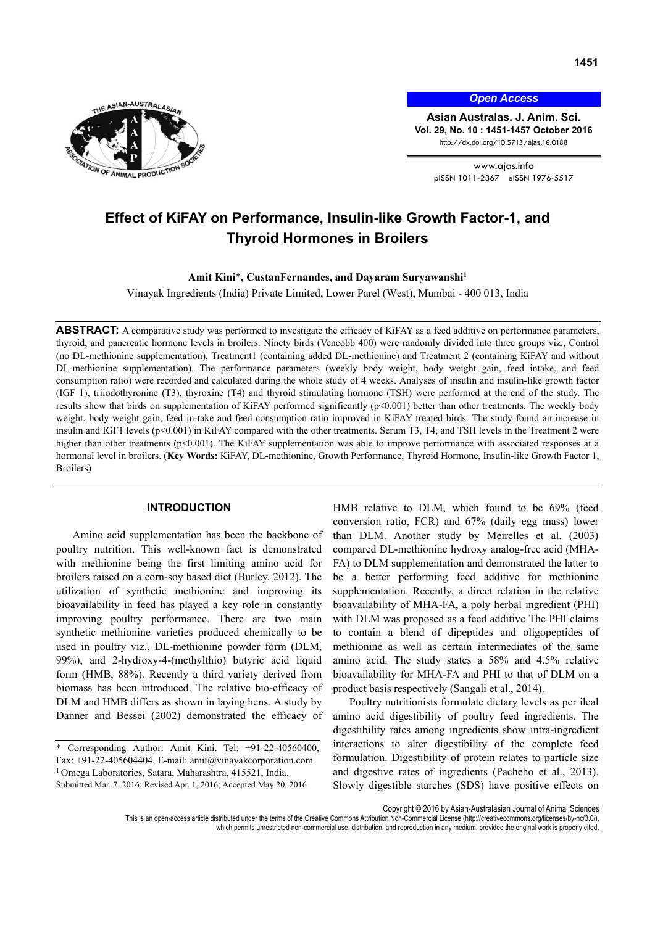

*Open Access*

**Asian Australas. J. Anim. Sci. Vol. 29, No. 10 : 1451-1457 October 2016** http://dx.doi.org/10.5713/ajas.16.0188

> www.ajas.info pISSN 1011-2367 eISSN 1976-5517

# **Effect of KiFAY on Performance, Insulin-like Growth Factor-1, and Thyroid Hormones in Broilers**

Amit Kini<sup>\*</sup>, CustanFernandes, and Dayaram Suryawanshi<sup>1</sup>

Vinayak Ingredients (India) Private Limited, Lower Parel (West), Mumbai - 400 013, India

**ABSTRACT:** A comparative study was performed to investigate the efficacy of KiFAY as a feed additive on performance parameters, thyroid, and pancreatic hormone levels in broilers. Ninety birds (Vencobb 400) were randomly divided into three groups viz., Control (no DL-methionine supplementation), Treatment1 (containing added DL-methionine) and Treatment 2 (containing KiFAY and without DL-methionine supplementation). The performance parameters (weekly body weight, body weight gain, feed intake, and feed consumption ratio) were recorded and calculated during the whole study of 4 weeks. Analyses of insulin and insulin-like growth factor (IGF 1), triiodothyronine (T3), thyroxine (T4) and thyroid stimulating hormone (TSH) were performed at the end of the study. The results show that birds on supplementation of KiFAY performed significantly (p<0.001) better than other treatments. The weekly body weight, body weight gain, feed in-take and feed consumption ratio improved in KiFAY treated birds. The study found an increase in insulin and IGF1 levels (p<0.001) in KiFAY compared with the other treatments. Serum T3, T4, and TSH levels in the Treatment 2 were higher than other treatments (p<0.001). The KiFAY supplementation was able to improve performance with associated responses at a hormonal level in broilers. (**Key Words:** KiFAY, DL-methionine, Growth Performance, Thyroid Hormone, Insulin-like Growth Factor 1, Broilers)

## **INTRODUCTION**

Amino acid supplementation has been the backbone of poultry nutrition. This well-known fact is demonstrated with methionine being the first limiting amino acid for broilers raised on a corn-soy based diet (Burley, 2012). The utilization of synthetic methionine and improving its bioavailability in feed has played a key role in constantly improving poultry performance. There are two main synthetic methionine varieties produced chemically to be used in poultry viz., DL-methionine powder form (DLM, 99%), and 2-hydroxy-4-(methylthio) butyric acid liquid form (HMB, 88%). Recently a third variety derived from biomass has been introduced. The relative bio-efficacy of DLM and HMB differs as shown in laying hens. A study by Danner and Bessei (2002) demonstrated the efficacy of HMB relative to DLM, which found to be 69% (feed conversion ratio, FCR) and 67% (daily egg mass) lower than DLM. Another study by Meirelles et al. (2003) compared DL-methionine hydroxy analog-free acid (MHA-FA) to DLM supplementation and demonstrated the latter to be a better performing feed additive for methionine supplementation. Recently, a direct relation in the relative bioavailability of MHA-FA, a poly herbal ingredient (PHI) with DLM was proposed as a feed additive The PHI claims to contain a blend of dipeptides and oligopeptides of methionine as well as certain intermediates of the same amino acid. The study states a 58% and 4.5% relative bioavailability for MHA-FA and PHI to that of DLM on a product basis respectively (Sangali et al., 2014).

Poultry nutritionists formulate dietary levels as per ileal amino acid digestibility of poultry feed ingredients. The digestibility rates among ingredients show intra-ingredient interactions to alter digestibility of the complete feed formulation. Digestibility of protein relates to particle size and digestive rates of ingredients (Pacheho et al., 2013). Slowly digestible starches (SDS) have positive effects on

Copyright © 2016 by Asian-Australasian Journal of Animal Sciences

This is an open-access article distributed under the terms of the Creative Commons Attribution Non-Commercial License (http://creativecommons.org/licenses/by-nc/3.0/), which permits unrestricted non-commercial use, distribution, and reproduction in any medium, provided the original work is properly cited.

Corresponding Author: Amit Kini. Tel: +91-22-40560400, Fax: +91-22-405604404, E-mail: amit@vinayakcorporation.com 1 Omega Laboratories, Satara, Maharashtra, 415521, India. Submitted Mar. 7, 2016; Revised Apr. 1, 2016; Accepted May 20, 2016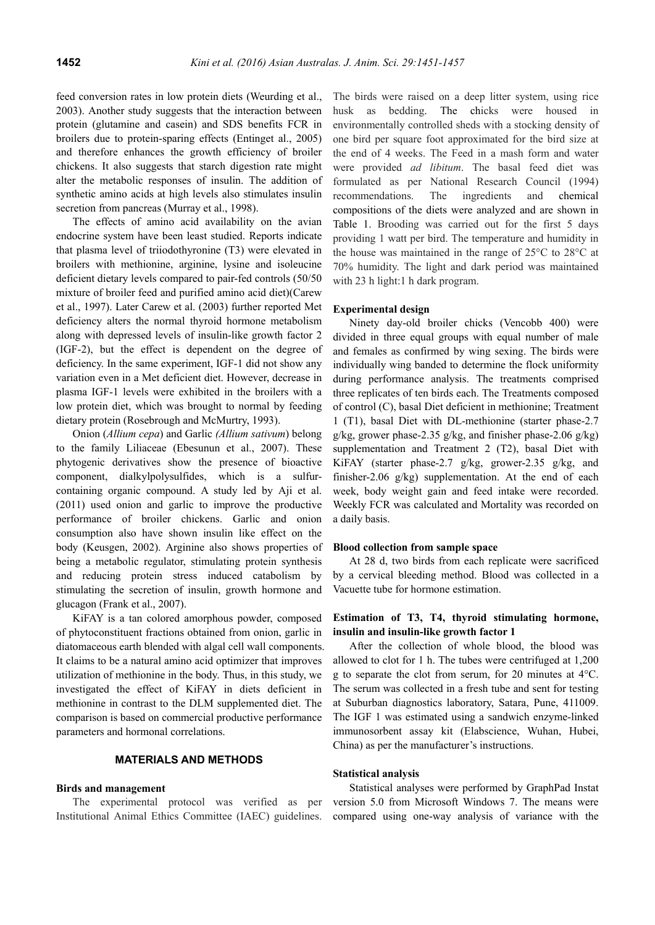feed conversion rates in low protein diets (Weurding et al., 2003). Another study suggests that the interaction between protein (glutamine and casein) and SDS benefits FCR in broilers due to protein-sparing effects (Entinget al., 2005) and therefore enhances the growth efficiency of broiler chickens. It also suggests that starch digestion rate might alter the metabolic responses of insulin. The addition of synthetic amino acids at high levels also stimulates insulin secretion from pancreas (Murray et al., 1998).

The effects of amino acid availability on the avian endocrine system have been least studied. Reports indicate that plasma level of triiodothyronine (T3) were elevated in broilers with methionine, arginine, lysine and isoleucine deficient dietary levels compared to pair-fed controls (50/50 mixture of broiler feed and purified amino acid diet)(Carew et al., 1997). Later Carew et al. (2003) further reported Met deficiency alters the normal thyroid hormone metabolism along with depressed levels of insulin-like growth factor 2 (IGF-2), but the effect is dependent on the degree of deficiency. In the same experiment, IGF-1 did not show any variation even in a Met deficient diet. However, decrease in plasma IGF-1 levels were exhibited in the broilers with a low protein diet, which was brought to normal by feeding dietary protein (Rosebrough and McMurtry, 1993).

Onion (*Allium cepa*) and Garlic *(Allium sativum*) belong to the family Liliaceae (Ebesunun et al., 2007). These phytogenic derivatives show the presence of bioactive component, dialkylpolysulfides, which is a sulfurcontaining organic compound. A study led by Aji et al. (2011) used onion and garlic to improve the productive performance of broiler chickens. Garlic and onion consumption also have shown insulin like effect on the body (Keusgen, 2002). Arginine also shows properties of being a metabolic regulator, stimulating protein synthesis and reducing protein stress induced catabolism by stimulating the secretion of insulin, growth hormone and glucagon (Frank et al., 2007).

KiFAY is a tan colored amorphous powder, composed of phytoconstituent fractions obtained from onion, garlic in diatomaceous earth blended with algal cell wall components. It claims to be a natural amino acid optimizer that improves utilization of methionine in the body. Thus, in this study, we investigated the effect of KiFAY in diets deficient in methionine in contrast to the DLM supplemented diet. The comparison is based on commercial productive performance parameters and hormonal correlations.

## **MATERIALS AND METHODS**

#### **Birds and management**

The experimental protocol was verified as per Institutional Animal Ethics Committee (IAEC) guidelines.

The birds were raised on a deep litter system, using rice husk as bedding. The chicks were housed in environmentally controlled sheds with a stocking density of one bird per square foot approximated for the bird size at the end of 4 weeks. The Feed in a mash form and water were provided *ad libitum*. The basal feed diet was formulated as per National Research Council (1994) recommendations. The ingredients and chemical compositions of the diets were analyzed and are shown in Table 1. Brooding was carried out for the first 5 days providing 1 watt per bird. The temperature and humidity in the house was maintained in the range of 25°C to 28°C at 70% humidity. The light and dark period was maintained with 23 h light:1 h dark program.

## **Experimental design**

Ninety day-old broiler chicks (Vencobb 400) were divided in three equal groups with equal number of male and females as confirmed by wing sexing. The birds were individually wing banded to determine the flock uniformity during performance analysis. The treatments comprised three replicates of ten birds each. The Treatments composed of control (C), basal Diet deficient in methionine; Treatment 1 (T1), basal Diet with DL-methionine (starter phase-2.7 g/kg, grower phase-2.35 g/kg, and finisher phase-2.06 g/kg) supplementation and Treatment 2 (T2), basal Diet with KiFAY (starter phase-2.7 g/kg, grower-2.35 g/kg, and finisher-2.06 g/kg) supplementation. At the end of each week, body weight gain and feed intake were recorded. Weekly FCR was calculated and Mortality was recorded on a daily basis.

#### **Blood collection from sample space**

At 28 d, two birds from each replicate were sacrificed by a cervical bleeding method. Blood was collected in a Vacuette tube for hormone estimation.

# **Estimation of T3, T4, thyroid stimulating hormone, insulin and insulin-like growth factor 1**

After the collection of whole blood, the blood was allowed to clot for 1 h. The tubes were centrifuged at 1,200 g to separate the clot from serum, for 20 minutes at 4°C. The serum was collected in a fresh tube and sent for testing at Suburban diagnostics laboratory, Satara, Pune, 411009. The IGF 1 was estimated using a sandwich enzyme-linked immunosorbent assay kit (Elabscience, Wuhan, Hubei, China) as per the manufacturer's instructions.

## **Statistical analysis**

Statistical analyses were performed by GraphPad Instat version 5.0 from Microsoft Windows 7. The means were compared using one-way analysis of variance with the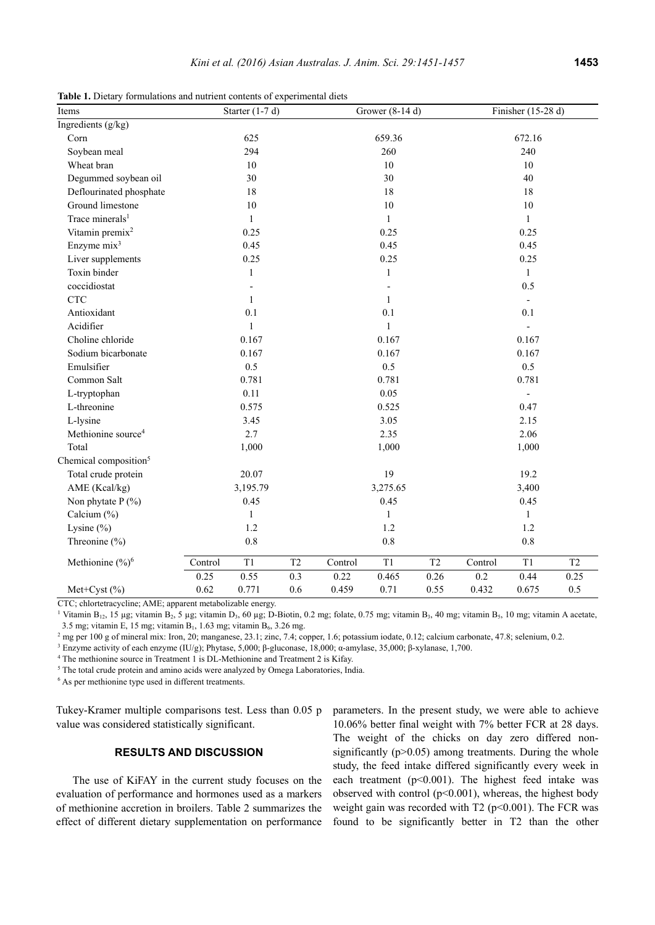Table 1. Dietary formulations and nutrient contents of experimental diets

| Items                             | Starter $(1-7 d)$ |         | Grower (8-14 d) |              |         | Finisher $(15-28 d)$ |                          |         |                |
|-----------------------------------|-------------------|---------|-----------------|--------------|---------|----------------------|--------------------------|---------|----------------|
| Ingredients $(g/kg)$              |                   |         |                 |              |         |                      |                          |         |                |
| Corn                              | 625               |         |                 | 659.36       |         |                      | 672.16                   |         |                |
| Soybean meal                      | 294               |         |                 | 260          |         |                      | 240                      |         |                |
| Wheat bran                        |                   | $10\,$  |                 | 10           |         |                      | $10\,$                   |         |                |
| Degummed soybean oil              | 30                |         |                 | 30           |         |                      | 40                       |         |                |
| Deflourinated phosphate           | 18                |         |                 | 18           |         |                      | 18                       |         |                |
| Ground limestone                  | 10                |         |                 | 10           |         |                      | $10\,$                   |         |                |
| Trace minerals <sup>1</sup>       | $\mathbf{1}$      |         |                 | $\mathbf{1}$ |         |                      | $\mathbf{1}$             |         |                |
| Vitamin premix <sup>2</sup>       | 0.25              |         |                 | 0.25         |         |                      | 0.25                     |         |                |
| Enzyme mix <sup>3</sup>           | 0.45              |         |                 | 0.45         |         |                      | 0.45                     |         |                |
| Liver supplements                 | 0.25              |         |                 | 0.25         |         |                      | 0.25                     |         |                |
| Toxin binder                      | $\mathbf{1}$      |         |                 | 1            |         |                      | $\mathbf{1}$             |         |                |
| coccidiostat                      | $\overline{a}$    |         |                 |              |         |                      | 0.5                      |         |                |
| CTC                               | $\mathbf{1}$      |         |                 | 1            |         |                      | $\overline{\phantom{a}}$ |         |                |
| Antioxidant                       | 0.1               |         |                 | 0.1          |         |                      | 0.1                      |         |                |
| Acidifier                         | 1                 |         |                 | $\mathbf{1}$ |         |                      | $\frac{1}{2}$            |         |                |
| Choline chloride                  | 0.167             |         |                 | 0.167        |         |                      | 0.167                    |         |                |
| Sodium bicarbonate                | 0.167             |         |                 | 0.167        |         |                      | 0.167                    |         |                |
| Emulsifier                        | 0.5               |         |                 | 0.5          |         |                      | 0.5                      |         |                |
| Common Salt                       | 0.781             |         |                 | 0.781        |         |                      | 0.781                    |         |                |
| L-tryptophan                      | 0.11              |         |                 | 0.05         |         |                      | $\blacksquare$           |         |                |
| L-threonine                       | 0.575             |         |                 | 0.525        |         |                      | 0.47                     |         |                |
| L-lysine                          | 3.45              |         |                 | 3.05         |         |                      | 2.15                     |         |                |
| Methionine source <sup>4</sup>    | 2.7               |         |                 | 2.35         |         |                      | 2.06                     |         |                |
| Total                             | 1,000             |         |                 | 1,000        |         |                      | 1,000                    |         |                |
| Chemical composition <sup>5</sup> |                   |         |                 |              |         |                      |                          |         |                |
| Total crude protein               | 20.07             |         |                 | 19           |         |                      | 19.2                     |         |                |
| AME (Kcal/kg)                     | 3,195.79          |         |                 | 3,275.65     |         |                      | 3,400                    |         |                |
| Non phytate $P(\% )$              | 0.45              |         |                 | 0.45         |         |                      | 0.45                     |         |                |
| Calcium (%)                       | $\mathbf{1}$      |         |                 | 1            |         |                      | $\mathbf{1}$             |         |                |
| Lysine $(\% )$                    | 1.2               |         |                 | 1.2          |         |                      | 1.2                      |         |                |
| Threonine (%)                     |                   | $0.8\,$ |                 |              | $0.8\,$ |                      |                          | $0.8\,$ |                |
| Methionine $(\frac{6}{6})^6$      | Control           | T1      | T2              | Control      | T1      | T <sub>2</sub>       | Control                  | T1      | T <sub>2</sub> |
|                                   | 0.25              | 0.55    | 0.3             | 0.22         | 0.465   | 0.26                 | $0.2\,$                  | 0.44    | 0.25           |
| Met+Cyst $(\% )$                  | 0.62              | 0.771   | 0.6             | 0.459        | 0.71    | 0.55                 | 0.432                    | 0.675   | 0.5            |

CTC; chlortetracycline; AME; apparent metabolizable energy.

<sup>1</sup> Vitamin B<sub>12</sub>, 15 µg; vitamin B<sub>2</sub>, 5 µg; vitamin D<sub>3</sub>, 60 µg; D-Biotin, 0.2 mg; folate, 0.75 mg; vitamin B<sub>3</sub>, 40 mg; vitamin B<sub>5</sub>, 10 mg; vitamin A acetate, 3.5 mg; vitamin E, 15 mg; vitamin  $B_1$ , 1.63 mg; vitamin  $B_6$ , 3.26 mg.

<sup>2</sup> mg per 100 g of mineral mix: Iron, 20; manganese, 23.1; zinc, 7.4; copper, 1.6; potassium iodate, 0.12; calcium carbonate, 47.8; selenium, 0.2.

Enzyme activity of each enzyme (IU/g); Phytase, 5,000; β-gluconase, 18,000; α-amylase, 35,000; β-xylanase, 1,700. 4

<sup>4</sup> The methionine source in Treatment 1 is DL-Methionine and Treatment 2 is Kifay.

 $5$  The total crude protein and amino acids were analyzed by Omega Laboratories, India.

<sup>6</sup> As per methionine type used in different treatments.

Tukey-Kramer multiple comparisons test. Less than 0.05 p value was considered statistically significant.

# **RESULTS AND DISCUSSION**

The use of KiFAY in the current study focuses on the evaluation of performance and hormones used as a markers of methionine accretion in broilers. Table 2 summarizes the effect of different dietary supplementation on performance parameters. In the present study, we were able to achieve 10.06% better final weight with 7% better FCR at 28 days. The weight of the chicks on day zero differed nonsignificantly  $(p>0.05)$  among treatments. During the whole study, the feed intake differed significantly every week in each treatment  $(p<0.001)$ . The highest feed intake was observed with control  $(p<0.001)$ , whereas, the highest body weight gain was recorded with  $T2$  (p<0.001). The FCR was found to be significantly better in T2 than the other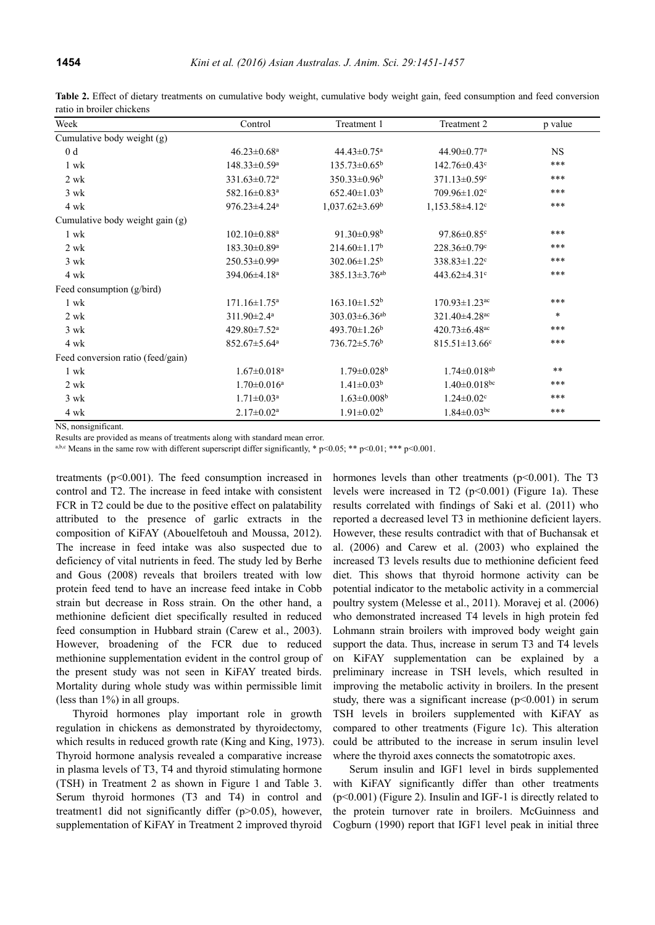| Week                              | Control                        | Treatment 1                     | Treatment 2                     | p value      |
|-----------------------------------|--------------------------------|---------------------------------|---------------------------------|--------------|
| Cumulative body weight (g)        |                                |                                 |                                 |              |
| 0 <sub>d</sub>                    | $46.23 \pm 0.68$ <sup>a</sup>  | $44.43 \pm 0.75$ <sup>a</sup>   | 44.90±0.77 <sup>a</sup>         | <b>NS</b>    |
| 1 wk                              | $148.33 \pm 0.59$ <sup>a</sup> | $135.73 \pm 0.65^b$             | $142.76 \pm 0.43$ °             | $***$        |
| $2 \text{ wk}$                    | $331.63 \pm 0.72$ <sup>a</sup> | $350.33 \pm 0.96^b$             | $371.13 \pm 0.59$ <sup>c</sup>  | $***$        |
| $3 \text{ wk}$                    | 582.16±0.83 <sup>a</sup>       | $652.40 \pm 1.03^b$             | $709.96 \pm 1.02$ <sup>c</sup>  | $***$        |
| 4 wk                              | 976.23±4.24 <sup>a</sup>       | $1,037.62 \pm 3.69^{\rm b}$     | 1,153.58±4.12 <sup>c</sup>      | $***$        |
| Cumulative body weight gain (g)   |                                |                                 |                                 |              |
| 1 wk                              | $102.10\pm0.88$ <sup>a</sup>   | $91.30\pm0.98^{\rm b}$          | $97.86 \pm 0.85$ <sup>c</sup>   | $***$        |
| $2 \text{ wk}$                    | $183.30\pm0.89^{\rm a}$        | $214.60 \pm 1.17$ <sup>b</sup>  | $228.36 \pm 0.79$ °             | $***$        |
| $3 \text{ wk}$                    | $250.53 \pm 0.99^a$            | $302.06 \pm 1.25^{\rm b}$       | $338.83 \pm 1.22$ <sup>c</sup>  | $***$        |
| 4 wk                              | 394.06±4.18 <sup>a</sup>       | $385.13 \pm 3.76$ <sup>ab</sup> | 443.62 $\pm$ 4.31 $\degree$     | $***$        |
| Feed consumption (g/bird)         |                                |                                 |                                 |              |
| 1 wk                              | $171.16 \pm 1.75$ <sup>a</sup> | $163.10 \pm 1.52^b$             | $170.93 \pm 1.23$ <sup>ac</sup> | $***$        |
| 2 wk                              | $311.90 \pm 2.4$ <sup>a</sup>  | $303.03 \pm 6.36$ <sup>ab</sup> | $321.40 \pm 4.28$ <sup>ac</sup> | $\ast$       |
| $3 \text{ wk}$                    | 429.80±7.52 <sup>a</sup>       | 493.70 $\pm$ 1.26 <sup>b</sup>  | 420.73 $\pm$ 6.48 <sup>ac</sup> | $***$        |
| 4 wk                              | 852.67±5.64 <sup>a</sup>       | $736.72 \pm 5.76^b$             | $815.51 \pm 13.66$ <sup>c</sup> | $***$        |
| Feed conversion ratio (feed/gain) |                                |                                 |                                 |              |
| 1 wk                              | $1.67 \pm 0.018$ <sup>a</sup>  | $1.79 \pm 0.028$ <sup>b</sup>   | $1.74 \pm 0.018$ <sup>ab</sup>  | $\star\star$ |
| $2 \text{ wk}$                    | $1.70 \pm 0.016^a$             | $1.41 \pm 0.03^b$               | $1.40 \pm 0.018$ bc             | $***$        |
| 3 wk                              | $1.71 \pm 0.03$ <sup>a</sup>   | $1.63 \pm 0.008$ <sup>b</sup>   | $1.24 \pm 0.02$ <sup>c</sup>    | $***$        |
| 4 wk                              | $2.17 \pm 0.02^a$              | $1.91 \pm 0.02^b$               | $1.84 \pm 0.03$ <sup>bc</sup>   | $***$        |

**Table 2.** Effect of dietary treatments on cumulative body weight, cumulative body weight gain, feed consumption and feed conversion ratio in broiler chickens

NS, nonsignificant.

Results are provided as means of treatments along with standard mean error.<br>  $a,b,c$  Means in the same row with different superscript differ significantly, \* p<0.05; \*\* p<0.01; \*\*\* p<0.001.

treatments (p<0.001). The feed consumption increased in control and T2. The increase in feed intake with consistent FCR in T2 could be due to the positive effect on palatability attributed to the presence of garlic extracts in the composition of KiFAY (Abouelfetouh and Moussa, 2012). The increase in feed intake was also suspected due to deficiency of vital nutrients in feed. The study led by Berhe and Gous (2008) reveals that broilers treated with low protein feed tend to have an increase feed intake in Cobb strain but decrease in Ross strain. On the other hand, a methionine deficient diet specifically resulted in reduced feed consumption in Hubbard strain (Carew et al., 2003). However, broadening of the FCR due to reduced methionine supplementation evident in the control group of the present study was not seen in KiFAY treated birds. Mortality during whole study was within permissible limit (less than 1%) in all groups.

Thyroid hormones play important role in growth regulation in chickens as demonstrated by thyroidectomy, which results in reduced growth rate (King and King, 1973). Thyroid hormone analysis revealed a comparative increase in plasma levels of T3, T4 and thyroid stimulating hormone (TSH) in Treatment 2 as shown in Figure 1 and Table 3. Serum thyroid hormones (T3 and T4) in control and treatment1 did not significantly differ (p>0.05), however, supplementation of KiFAY in Treatment 2 improved thyroid hormones levels than other treatments  $(p<0.001)$ . The T3 levels were increased in T2 ( $p<0.001$ ) (Figure 1a). These results correlated with findings of Saki et al. (2011) who reported a decreased level T3 in methionine deficient layers. However, these results contradict with that of Buchansak et al. (2006) and Carew et al. (2003) who explained the increased T3 levels results due to methionine deficient feed diet. This shows that thyroid hormone activity can be potential indicator to the metabolic activity in a commercial poultry system (Melesse et al., 2011). Moravej et al. (2006) who demonstrated increased T4 levels in high protein fed Lohmann strain broilers with improved body weight gain support the data. Thus, increase in serum T3 and T4 levels on KiFAY supplementation can be explained by a preliminary increase in TSH levels, which resulted in improving the metabolic activity in broilers. In the present study, there was a significant increase  $(p<0.001)$  in serum TSH levels in broilers supplemented with KiFAY as compared to other treatments (Figure 1c). This alteration could be attributed to the increase in serum insulin level where the thyroid axes connects the somatotropic axes.

Serum insulin and IGF1 level in birds supplemented with KiFAY significantly differ than other treatments (p<0.001) (Figure 2). Insulin and IGF-1 is directly related to the protein turnover rate in broilers. McGuinness and Cogburn (1990) report that IGF1 level peak in initial three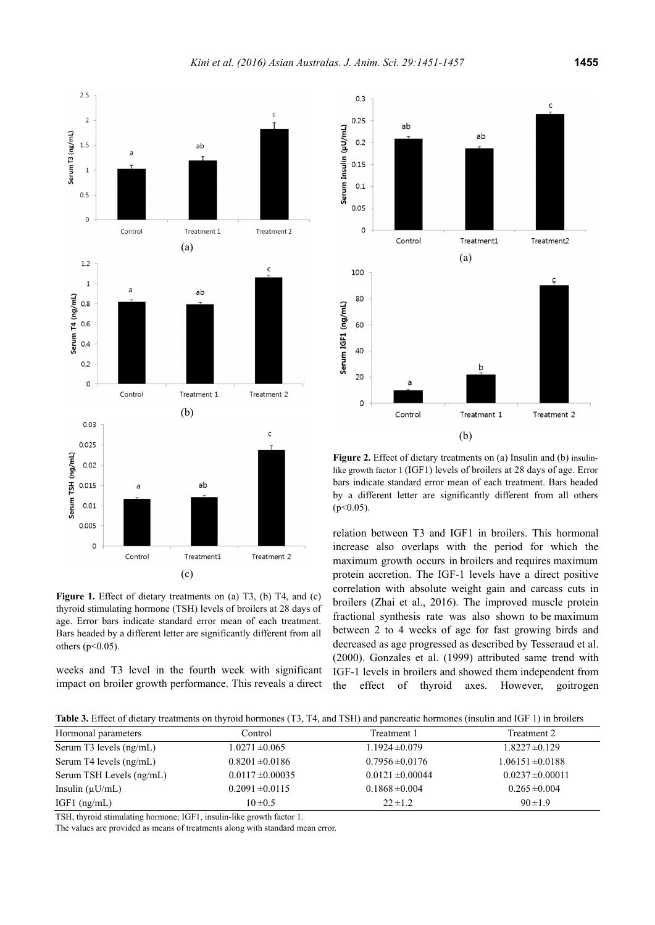

(c) Figure 1. Effect of dietary treatments on (a) T3, (b) T4, and (c) thyroid stimulating hormone (TSH) levels of broilers at 28 days of age. Error bars indicate standard error mean of each treatment. Bars headed by a different letter are significantly different from all others ( $p<0.05$ ).

Treatment1

Treatment 2

 $0.01$ 0.005  $\mathsf{C}$ 

Control

weeks and T3 level in the fourth week with significant impact on broiler growth performance. This reveals a direct



**Figure 2.** Effect of dietary treatments on (a) Insulin and (b) insulinlike growth factor 1 (IGF1) levels of broilers at 28 days of age. Error bars indicate standard error mean of each treatment. Bars headed by a different letter are significantly different from all others  $(p<0.05)$ .

relation between T3 and IGF1 in broilers. This hormonal increase also overlaps with the period for which the maximum growth occurs in broilers and requires maximum protein accretion. The IGF-1 levels have a direct positive correlation with absolute weight gain and carcass cuts in broilers (Zhai et al., 2016). The improved muscle protein fractional synthesis rate was also shown to be maximum between 2 to 4 weeks of age for fast growing birds and decreased as age progressed as described by Tesseraud et al. (2000). Gonzales et al. (1999) attributed same trend with IGF-1 levels in broilers and showed them independent from the effect of thyroid axes. However, goitrogen

**Table 3.** Effect of dietary treatments on thyroid hormones (T3, T4, and TSH) and pancreatic hormones (insulin and IGF 1) in broilers

| Hormonal parameters      | Control              | Treatment 1          | Treatment 2          |
|--------------------------|----------------------|----------------------|----------------------|
| Serum T3 levels (ng/mL)  | $1.0271 \pm 0.065$   | $1.1924 \pm 0.079$   | $1.8227 \pm 0.129$   |
| Serum T4 levels (ng/mL)  | $0.8201 \pm 0.0186$  | $0.7956 \pm 0.0176$  | $1.06151 \pm 0.0188$ |
| Serum TSH Levels (ng/mL) | $0.0117 \pm 0.00035$ | $0.0121 \pm 0.00044$ | $0.0237 \pm 0.00011$ |
| Insulin $(\mu U/mL)$     | $0.2091 \pm 0.0115$  | $0.1868 \pm 0.004$   | $0.265 \pm 0.004$    |
| IGF1 $(ng/mL)$           | $10 \pm 0.5$         | $22 \pm 1.2$         | $90 \pm 1.9$         |

TSH, thyroid stimulating hormone; IGF1, insulin-like growth factor 1.

The values are provided as means of treatments along with standard mean error.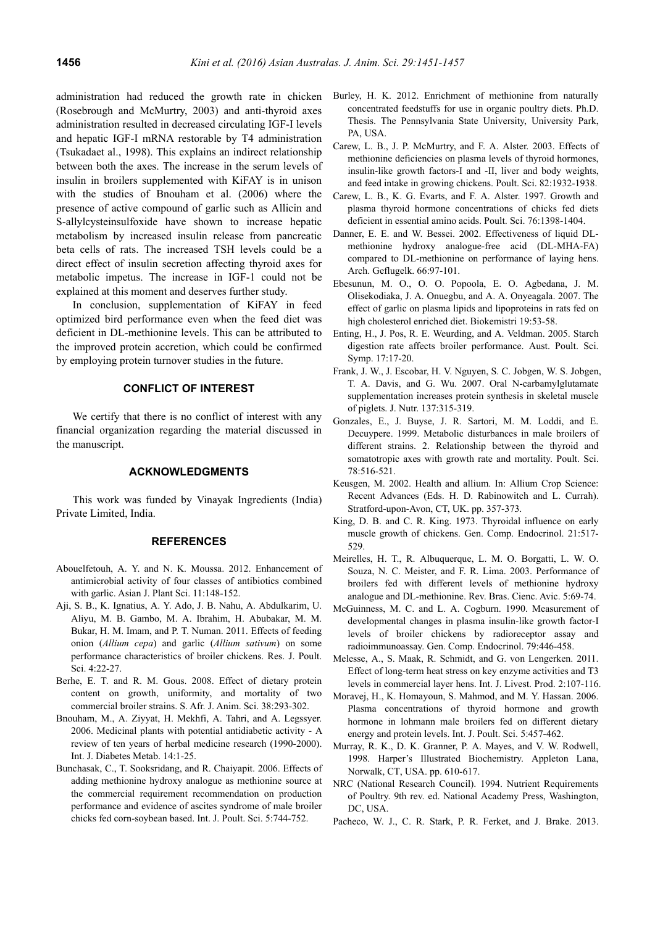administration had reduced the growth rate in chicken (Rosebrough and McMurtry, 2003) and anti-thyroid axes administration resulted in decreased circulating IGF-I levels and hepatic IGF-I mRNA restorable by T4 administration (Tsukadaet al., 1998). This explains an indirect relationship between both the axes. The increase in the serum levels of insulin in broilers supplemented with KiFAY is in unison with the studies of Bnouham et al. (2006) where the presence of active compound of garlic such as Allicin and S-allylcysteinsulfoxide have shown to increase hepatic metabolism by increased insulin release from pancreatic beta cells of rats. The increased TSH levels could be a direct effect of insulin secretion affecting thyroid axes for metabolic impetus. The increase in IGF-1 could not be explained at this moment and deserves further study.

In conclusion, supplementation of KiFAY in feed optimized bird performance even when the feed diet was deficient in DL-methionine levels. This can be attributed to the improved protein accretion, which could be confirmed by employing protein turnover studies in the future.

#### **CONFLICT OF INTEREST**

We certify that there is no conflict of interest with any financial organization regarding the material discussed in the manuscript.

## **ACKNOWLEDGMENTS**

This work was funded by Vinayak Ingredients (India) Private Limited, India.

#### **REFERENCES**

- Abouelfetouh, A. Y. and N. K. Moussa. 2012. Enhancement of antimicrobial activity of four classes of antibiotics combined with garlic. Asian J. Plant Sci. 11:148-152.
- Aji, S. B., K. Ignatius, A. Y. Ado, J. B. Nahu, A. Abdulkarim, U. Aliyu, M. B. Gambo, M. A. Ibrahim, H. Abubakar, M. M. Bukar, H. M. Imam, and P. T. Numan. 2011. Effects of feeding onion (*Allium cepa*) and garlic (*Allium sativum*) on some performance characteristics of broiler chickens. Res. J. Poult. Sci. 4:22-27.
- Berhe, E. T. and R. M. Gous. 2008. Effect of dietary protein content on growth, uniformity, and mortality of two commercial broiler strains. S. Afr. J. Anim. Sci. 38:293-302.
- Bnouham, M., A. Ziyyat, H. Mekhfi, A. Tahri, and A. Legssyer. 2006. Medicinal plants with potential antidiabetic activity - A review of ten years of herbal medicine research (1990-2000). Int. J. Diabetes Metab. 14:1-25.
- Bunchasak, C., T. Sooksridang, and R. Chaiyapit. 2006. Effects of adding methionine hydroxy analogue as methionine source at the commercial requirement recommendation on production performance and evidence of ascites syndrome of male broiler chicks fed corn-soybean based. Int. J. Poult. Sci. 5:744-752.
- Burley, H. K. 2012. Enrichment of methionine from naturally concentrated feedstuffs for use in organic poultry diets. Ph.D. Thesis. The Pennsylvania State University, University Park, PA, USA.
- Carew, L. B., J. P. McMurtry, and F. A. Alster. 2003. Effects of methionine deficiencies on plasma levels of thyroid hormones, insulin-like growth factors-I and -II, liver and body weights, and feed intake in growing chickens. Poult. Sci. 82:1932-1938.
- Carew, L. B., K. G. Evarts, and F. A. Alster. 1997. Growth and plasma thyroid hormone concentrations of chicks fed diets deficient in essential amino acids. Poult. Sci. 76:1398-1404.
- Danner, E. E. and W. Bessei. 2002. Effectiveness of liquid DLmethionine hydroxy analogue-free acid (DL-MHA-FA) compared to DL-methionine on performance of laying hens. Arch. Geflugelk. 66:97-101.
- Ebesunun, M. O., O. O. Popoola, E. O. Agbedana, J. M. Olisekodiaka, J. A. Onuegbu, and A. A. Onyeagala. 2007. The effect of garlic on plasma lipids and lipoproteins in rats fed on high cholesterol enriched diet. Biokemistri 19:53-58.
- Enting, H., J. Pos, R. E. Weurding, and A. Veldman. 2005. Starch digestion rate affects broiler performance. Aust. Poult. Sci. Symp. 17:17-20.
- Frank, J. W., J. Escobar, H. V. Nguyen, S. C. Jobgen, W. S. Jobgen, T. A. Davis, and G. Wu. 2007. Oral N-carbamylglutamate supplementation increases protein synthesis in skeletal muscle of piglets. J. Nutr. 137:315-319.
- Gonzales, E., J. Buyse, J. R. Sartori, M. M. Loddi, and E. Decuypere. 1999. Metabolic disturbances in male broilers of different strains. 2. Relationship between the thyroid and somatotropic axes with growth rate and mortality. Poult. Sci. 78:516-521.
- Keusgen, M. 2002. Health and allium. In: Allium Crop Science: Recent Advances (Eds. H. D. Rabinowitch and L. Currah). Stratford-upon-Avon, CT, UK. pp. 357-373.
- King, D. B. and C. R. King. 1973. Thyroidal influence on early muscle growth of chickens. Gen. Comp. Endocrinol. 21:517- 529.
- Meirelles, H. T., R. Albuquerque, L. M. O. Borgatti, L. W. O. Souza, N. C. Meister, and F. R. Lima. 2003. Performance of broilers fed with different levels of methionine hydroxy analogue and DL-methionine. Rev. Bras. Cienc. Avic. 5:69-74.
- McGuinness, M. C. and L. A. Cogburn. 1990. Measurement of developmental changes in plasma insulin-like growth factor-I levels of broiler chickens by radioreceptor assay and radioimmunoassay. Gen. Comp. Endocrinol. 79:446-458.
- Melesse, A., S. Maak, R. Schmidt, and G. von Lengerken. 2011. Effect of long-term heat stress on key enzyme activities and T3 levels in commercial layer hens. Int. J. Livest. Prod. 2:107-116.
- Moravej, H., K. Homayoun, S. Mahmod, and M. Y. Hassan. 2006. Plasma concentrations of thyroid hormone and growth hormone in lohmann male broilers fed on different dietary energy and protein levels. Int. J. Poult. Sci. 5:457-462.
- Murray, R. K., D. K. Granner, P. A. Mayes, and V. W. Rodwell, 1998. Harper's Illustrated Biochemistry. Appleton Lana, Norwalk, CT, USA. pp. 610-617.
- NRC (National Research Council). 1994. Nutrient Requirements of Poultry. 9th rev. ed. National Academy Press, Washington, DC, USA.
- Pacheco, W. J., C. R. Stark, P. R. Ferket, and J. Brake. 2013.